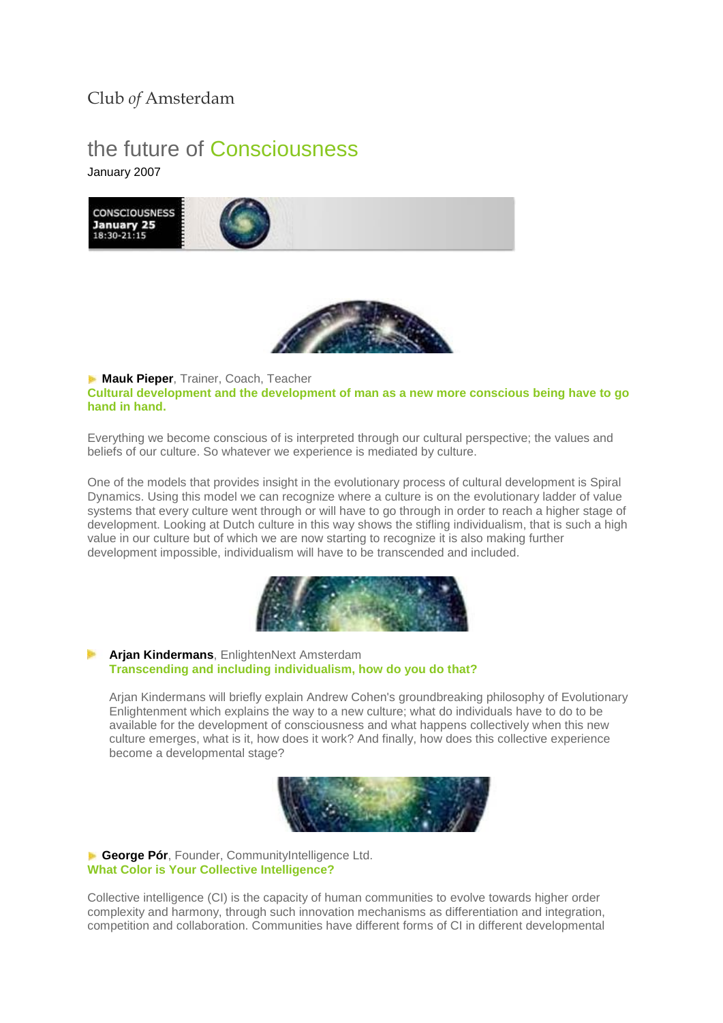## Club *of* Amsterdam

## the future of Consciousness January 2007





**Mauk Pieper**, Trainer, Coach, Teacher **Cultural development and the development of man as a new more conscious being have to go hand in hand.** 

Everything we become conscious of is interpreted through our cultural perspective; the values and beliefs of our culture. So whatever we experience is mediated by culture.

One of the models that provides insight in the evolutionary process of cultural development is Spiral Dynamics. Using this model we can recognize where a culture is on the evolutionary ladder of value systems that every culture went through or will have to go through in order to reach a higher stage of development. Looking at Dutch culture in this way shows the stifling individualism, that is such a high value in our culture but of which we are now starting to recognize it is also making further development impossible, individualism will have to be transcended and included.



**Arjan Kindermans**, EnlightenNext Amsterdam **Transcending and including individualism, how do you do that?** 

Arjan Kindermans will briefly explain Andrew Cohen's groundbreaking philosophy of Evolutionary Enlightenment which explains the way to a new culture; what do individuals have to do to be available for the development of consciousness and what happens collectively when this new culture emerges, what is it, how does it work? And finally, how does this collective experience become a developmental stage?



**George Pór**, Founder, CommunityIntelligence Ltd. **What Color is Your Collective Intelligence?**

Collective intelligence (CI) is the capacity of human communities to evolve towards higher order complexity and harmony, through such innovation mechanisms as differentiation and integration, competition and collaboration. Communities have different forms of CI in different developmental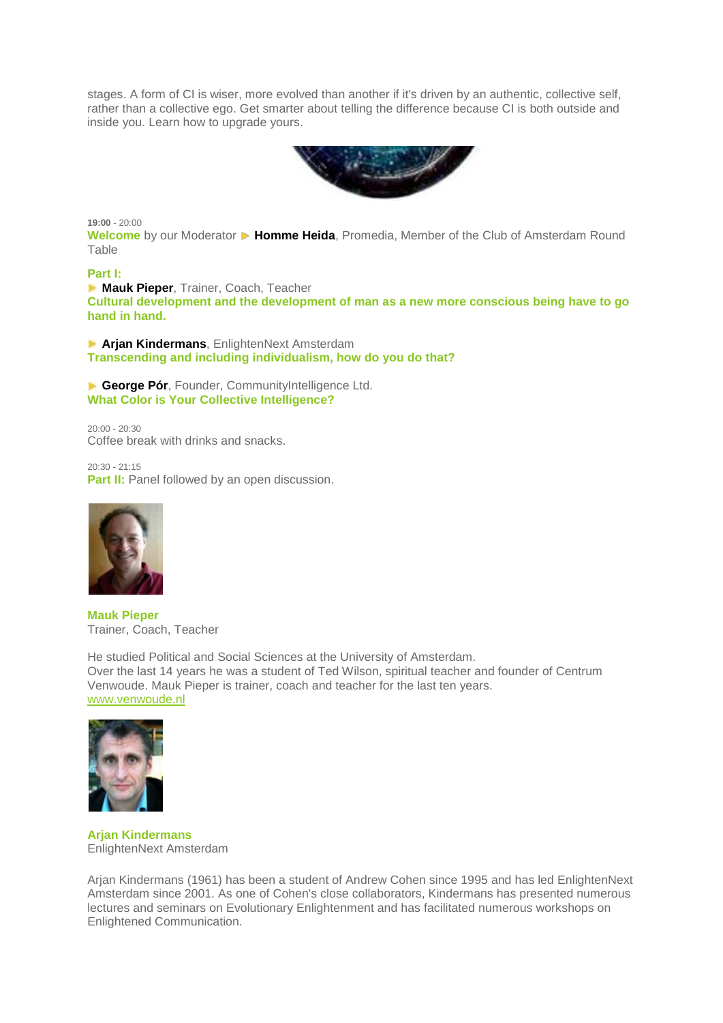stages. A form of CI is wiser, more evolved than another if it's driven by an authentic, collective self, rather than a collective ego. Get smarter about telling the difference because CI is both outside and inside you. Learn how to upgrade yours.



**19:00** - 20:00

**Welcome** by our Moderator ▶ Homme Heida, Promedia, Member of the Club of Amsterdam Round Table

## **Part I:**

**Mauk Pieper**, Trainer, Coach, Teacher **Cultural development and the development of man as a new more conscious being have to go hand in hand.** 

**Arjan Kindermans**, EnlightenNext Amsterdam **Transcending and including individualism, how do you do that?** 

**George Pór**, Founder, CommunityIntelligence Ltd. **What Color is Your Collective Intelligence?**

20:00 - 20:30 Coffee break with drinks and snacks.

20:30 - 21:15 **Part II:** Panel followed by an open discussion.



**Mauk Pieper** Trainer, Coach, Teacher

He studied Political and Social Sciences at the University of Amsterdam. Over the last 14 years he was a student of Ted Wilson, spiritual teacher and founder of Centrum Venwoude. Mauk Pieper is trainer, coach and teacher for the last ten years. [www.venwoude.nl](http://www.venwoude.nl/)



**Arjan Kindermans** EnlightenNext Amsterdam

Arjan Kindermans (1961) has been a student of Andrew Cohen since 1995 and has led EnlightenNext Amsterdam since 2001. As one of Cohen's close collaborators, Kindermans has presented numerous lectures and seminars on Evolutionary Enlightenment and has facilitated numerous workshops on Enlightened Communication.